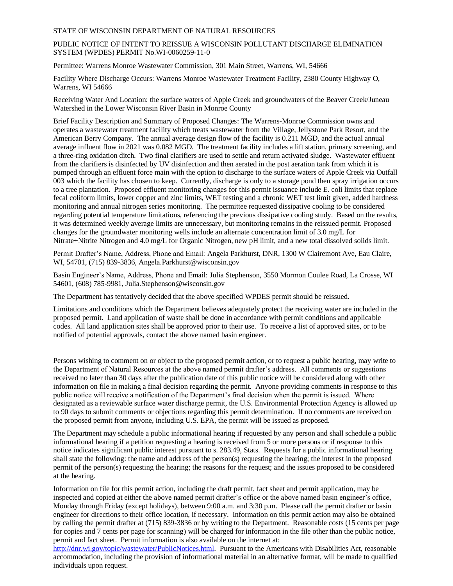#### STATE OF WISCONSIN DEPARTMENT OF NATURAL RESOURCES

### PUBLIC NOTICE OF INTENT TO REISSUE A WISCONSIN POLLUTANT DISCHARGE ELIMINATION SYSTEM (WPDES) PERMIT No.WI-0060259-11-0

Permittee: Warrens Monroe Wastewater Commission, 301 Main Street, Warrens, WI, 54666

Facility Where Discharge Occurs: Warrens Monroe Wastewater Treatment Facility, 2380 County Highway O, Warrens, WI 54666

Receiving Water And Location: the surface waters of Apple Creek and groundwaters of the Beaver Creek/Juneau Watershed in the Lower Wisconsin River Basin in Monroe County

Brief Facility Description and Summary of Proposed Changes: The Warrens-Monroe Commission owns and operates a wastewater treatment facility which treats wastewater from the Village, Jellystone Park Resort, and the American Berry Company. The annual average design flow of the facility is 0.211 MGD, and the actual annual average influent flow in 2021 was 0.082 MGD. The treatment facility includes a lift station, primary screening, and a three-ring oxidation ditch. Two final clarifiers are used to settle and return activated sludge. Wastewater effluent from the clarifiers is disinfected by UV disinfection and then aerated in the post aeration tank from which it is pumped through an effluent force main with the option to discharge to the surface waters of Apple Creek via Outfall 003 which the facility has chosen to keep. Currently, discharge is only to a storage pond then spray irrigation occurs to a tree plantation. Proposed effluent monitoring changes for this permit issuance include E. coli limits that replace fecal coliform limits, lower copper and zinc limits, WET testing and a chronic WET test limit given, added hardness monitoring and annual nitrogen series monitoring. The permittee requested dissipative cooling to be considered regarding potential temperature limitations, referencing the previous dissipative cooling study. Based on the results, it was determined weekly average limits are unnecessary, but monitoring remains in the reissued permit. Proposed changes for the groundwater monitoring wells include an alternate concentration limit of 3.0 mg/L for Nitrate+Nitrite Nitrogen and 4.0 mg/L for Organic Nitrogen, new pH limit, and a new total dissolved solids limit.

Permit Drafter's Name, Address, Phone and Email: Angela Parkhurst, DNR, 1300 W Clairemont Ave, Eau Claire, WI, 54701, (715) 839-3836, Angela.Parkhurst@wisconsin.gov

Basin Engineer's Name, Address, Phone and Email: Julia Stephenson, 3550 Mormon Coulee Road, La Crosse, WI 54601, (608) 785-9981, Julia.Stephenson@wisconsin.gov

The Department has tentatively decided that the above specified WPDES permit should be reissued.

Limitations and conditions which the Department believes adequately protect the receiving water are included in the proposed permit. Land application of waste shall be done in accordance with permit conditions and applicable codes. All land application sites shall be approved prior to their use. To receive a list of approved sites, or to be notified of potential approvals, contact the above named basin engineer.

Persons wishing to comment on or object to the proposed permit action, or to request a public hearing, may write to the Department of Natural Resources at the above named permit drafter's address. All comments or suggestions received no later than 30 days after the publication date of this public notice will be considered along with other information on file in making a final decision regarding the permit. Anyone providing comments in response to this public notice will receive a notification of the Department's final decision when the permit is issued. Where designated as a reviewable surface water discharge permit, the U.S. Environmental Protection Agency is allowed up to 90 days to submit comments or objections regarding this permit determination. If no comments are received on the proposed permit from anyone, including U.S. EPA, the permit will be issued as proposed.

The Department may schedule a public informational hearing if requested by any person and shall schedule a public informational hearing if a petition requesting a hearing is received from 5 or more persons or if response to this notice indicates significant public interest pursuant to s. 283.49, Stats. Requests for a public informational hearing shall state the following: the name and address of the person(s) requesting the hearing; the interest in the proposed permit of the person(s) requesting the hearing; the reasons for the request; and the issues proposed to be considered at the hearing.

Information on file for this permit action, including the draft permit, fact sheet and permit application, may be inspected and copied at either the above named permit drafter's office or the above named basin engineer's office, Monday through Friday (except holidays), between 9:00 a.m. and 3:30 p.m. Please call the permit drafter or basin engineer for directions to their office location, if necessary. Information on this permit action may also be obtained by calling the permit drafter at (715) 839-3836 or by writing to the Department. Reasonable costs (15 cents per page for copies and 7 cents per page for scanning) will be charged for information in the file other than the public notice, permit and fact sheet. Permit information is also available on the internet at:

[http://dnr.wi.gov/topic/wastewater/PublicNotices.html.](http://dnr.wi.gov/topic/wastewater/PublicNotices.html) Pursuant to the Americans with Disabilities Act, reasonable accommodation, including the provision of informational material in an alternative format, will be made to qualified individuals upon request.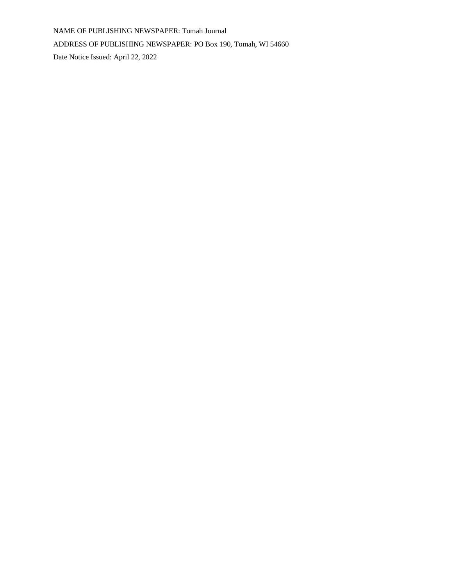NAME OF PUBLISHING NEWSPAPER: Tomah Journal ADDRESS OF PUBLISHING NEWSPAPER: PO Box 190, Tomah, WI 54660 Date Notice Issued: April 22, 2022